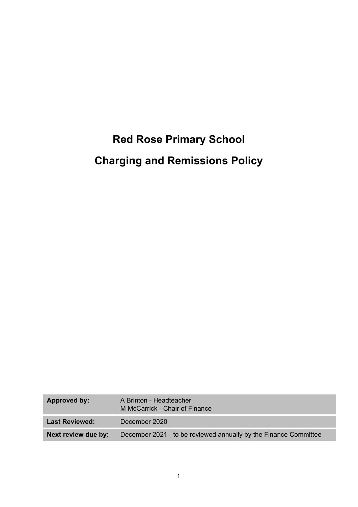# **Red Rose Primary School Charging and Remissions Policy**

| Approved by:          | A Brinton - Headteacher<br>M McCarrick - Chair of Finance        |
|-----------------------|------------------------------------------------------------------|
| <b>Last Reviewed:</b> | December 2020                                                    |
| Next review due by:   | December 2021 - to be reviewed annually by the Finance Committee |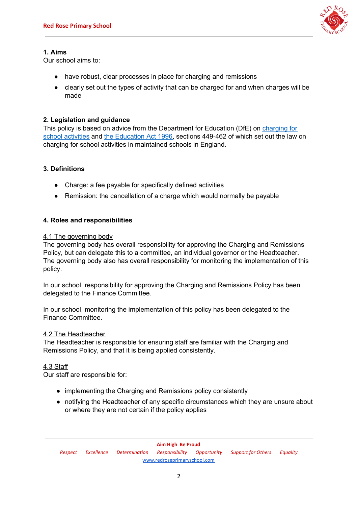

# **1. Aims**

Our school aims to:

- have robust, clear processes in place for charging and remissions
- clearly set out the types of activity that can be charged for and when charges will be made

# **2. Legislation and guidance**

This policy is based on advice from the Department for Education (DfE) on [charging](https://www.gov.uk/government/publications/charging-for-school-activities) for school [activities](https://www.gov.uk/government/publications/charging-for-school-activities) and the [Education](http://www.legislation.gov.uk/ukpga/1996/56/part/VI/chapter/III) Act 1996, sections 449-462 of which set out the law on charging for school activities in maintained schools in England.

# **3. Definitions**

- Charge: a fee payable for specifically defined activities
- Remission: the cancellation of a charge which would normally be payable

# **4. Roles and responsibilities**

# 4.1 The governing body

The governing body has overall responsibility for approving the Charging and Remissions Policy, but can delegate this to a committee, an individual governor or the Headteacher. The governing body also has overall responsibility for monitoring the implementation of this policy.

In our school, responsibility for approving the Charging and Remissions Policy has been delegated to the Finance Committee.

In our school, monitoring the implementation of this policy has been delegated to the Finance Committee.

# 4.2 The Headteacher

The Headteacher is responsible for ensuring staff are familiar with the Charging and Remissions Policy, and that it is being applied consistently.

# 4.3 Staff

Our staff are responsible for:

- implementing the Charging and Remissions policy consistently
- notifying the Headteacher of any specific circumstances which they are unsure about or where they are not certain if the policy applies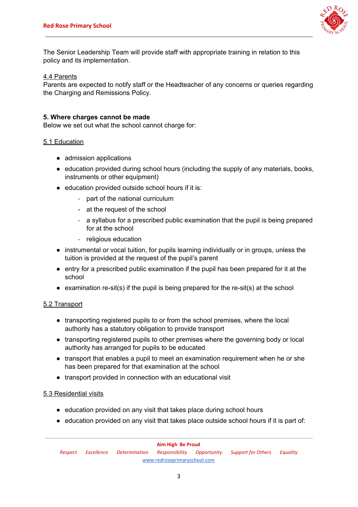

The Senior Leadership Team will provide staff with appropriate training in relation to this policy and its implementation.

#### 4.4 Parents

Parents are expected to notify staff or the Headteacher of any concerns or queries regarding the Charging and Remissions Policy.

#### **5. Where charges cannot be made**

Below we set out what the school cannot charge for:

#### 5.1 Education

- admission applications
- education provided during school hours (including the supply of any materials, books, instruments or other equipment)
- education provided outside school hours if it is:
	- part of the national curriculum
	- at the request of the school
	- a syllabus for a prescribed public examination that the pupil is being prepared for at the school
	- religious education
- instrumental or vocal tuition, for pupils learning individually or in groups, unless the tuition is provided at the request of the pupil's parent
- entry for a prescribed public examination if the pupil has been prepared for it at the school
- examination re-sit(s) if the pupil is being prepared for the re-sit(s) at the school

# 5.2 Transport

- transporting registered pupils to or from the school premises, where the local authority has a statutory obligation to provide transport
- transporting registered pupils to other premises where the governing body or local authority has arranged for pupils to be educated
- transport that enables a pupil to meet an examination requirement when he or she has been prepared for that examination at the school
- transport provided in connection with an educational visit

#### 5.3 Residential visits

- education provided on any visit that takes place during school hours
- education provided on any visit that takes place outside school hours if it is part of: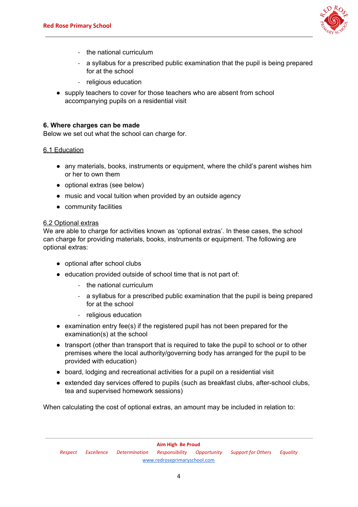

- the national curriculum
- a syllabus for a prescribed public examination that the pupil is being prepared for at the school
- religious education
- supply teachers to cover for those teachers who are absent from school accompanying pupils on a residential visit

#### **6. Where charges can be made**

Below we set out what the school can charge for.

#### 6.1 Education

- any materials, books, instruments or equipment, where the child's parent wishes him or her to own them
- optional extras (see below)
- music and vocal tuition when provided by an outside agency
- community facilities

# 6.2 Optional extras

We are able to charge for activities known as 'optional extras'. In these cases, the school can charge for providing materials, books, instruments or equipment. The following are optional extras:

- optional after school clubs
- education provided outside of school time that is not part of:
	- the national curriculum
	- a syllabus for a prescribed public examination that the pupil is being prepared for at the school
	- religious education
- examination entry fee(s) if the registered pupil has not been prepared for the examination(s) at the school
- transport (other than transport that is required to take the pupil to school or to other premises where the local authority/governing body has arranged for the pupil to be provided with education)
- board, lodging and recreational activities for a pupil on a residential visit
- extended day services offered to pupils (such as breakfast clubs, after-school clubs, tea and supervised homework sessions)

When calculating the cost of optional extras, an amount may be included in relation to: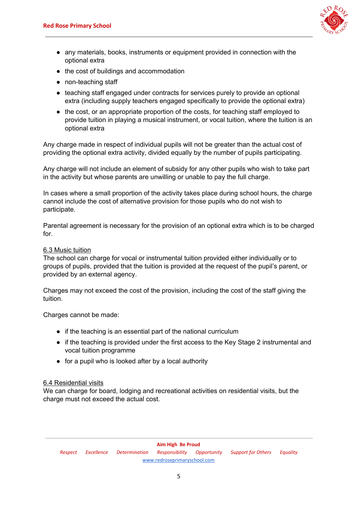

- any materials, books, instruments or equipment provided in connection with the optional extra
- the cost of buildings and accommodation
- non-teaching staff
- teaching staff engaged under contracts for services purely to provide an optional extra (including supply teachers engaged specifically to provide the optional extra)
- the cost, or an appropriate proportion of the costs, for teaching staff employed to provide tuition in playing a musical instrument, or vocal tuition, where the tuition is an optional extra

Any charge made in respect of individual pupils will not be greater than the actual cost of providing the optional extra activity, divided equally by the number of pupils participating.

Any charge will not include an element of subsidy for any other pupils who wish to take part in the activity but whose parents are unwilling or unable to pay the full charge.

In cases where a small proportion of the activity takes place during school hours, the charge cannot include the cost of alternative provision for those pupils who do not wish to participate.

Parental agreement is necessary for the provision of an optional extra which is to be charged for.

#### 6.3 Music tuition

The school can charge for vocal or instrumental tuition provided either individually or to groups of pupils, provided that the tuition is provided at the request of the pupil's parent, or provided by an external agency.

Charges may not exceed the cost of the provision, including the cost of the staff giving the tuition.

Charges cannot be made:

- if the teaching is an essential part of the national curriculum
- if the teaching is provided under the first access to the Key Stage 2 instrumental and vocal tuition programme
- for a pupil who is looked after by a local authority

# 6.4 Residential visits

We can charge for board, lodging and recreational activities on residential visits, but the charge must not exceed the actual cost.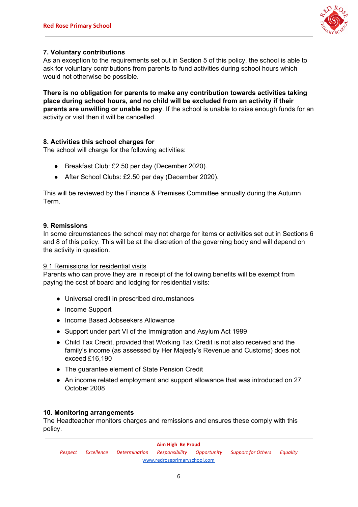

# **7. Voluntary contributions**

As an exception to the requirements set out in Section 5 of this policy, the school is able to ask for voluntary contributions from parents to fund activities during school hours which would not otherwise be possible.

**There is no obligation for parents to make any contribution towards activities taking place during school hours, and no child will be excluded from an activity if their parents are unwilling or unable to pay**. If the school is unable to raise enough funds for an activity or visit then it will be cancelled.

# **8. Activities this school charges for**

The school will charge for the following activities:

- Breakfast Club: £2.50 per day (December 2020).
- After School Clubs: £2.50 per day (December 2020).

This will be reviewed by the Finance & Premises Committee annually during the Autumn Term.

# **9. Remissions**

In some circumstances the school may not charge for items or activities set out in Sections 6 and 8 of this policy. This will be at the discretion of the governing body and will depend on the activity in question.

# 9.1 Remissions for residential visits

Parents who can prove they are in receipt of the following benefits will be exempt from paying the cost of board and lodging for residential visits:

- Universal credit in prescribed circumstances
- Income Support
- Income Based Jobseekers Allowance
- Support under part VI of the Immigration and Asylum Act 1999
- Child Tax Credit, provided that Working Tax Credit is not also received and the family's income (as assessed by Her Majesty's Revenue and Customs) does not exceed £16,190
- The guarantee element of State Pension Credit
- An income related employment and support allowance that was introduced on 27 October 2008

# **10. Monitoring arrangements**

The Headteacher monitors charges and remissions and ensures these comply with this policy.